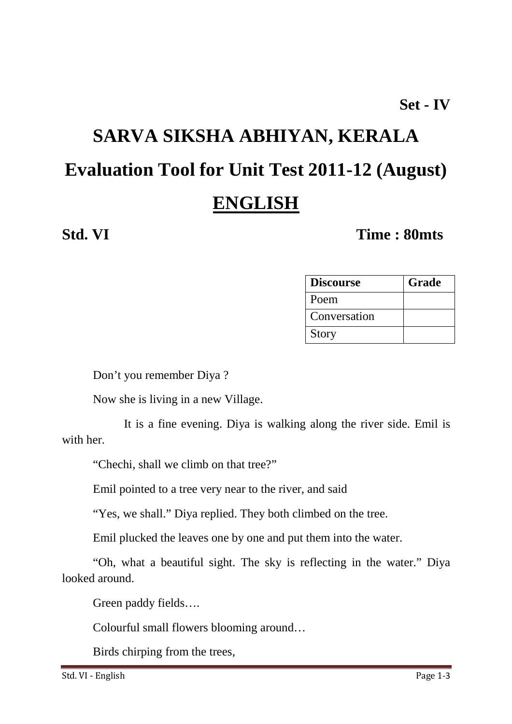### **Set - IV**

# **SARVA SIKSHA ABHIYAN, KERALA Evaluation Tool for Unit Test 2011-12 (August) ENGLISH**

### **Std. VI Time : 80mts**

| <b>Discourse</b> | Grade |
|------------------|-------|
| Poem             |       |
| Conversation     |       |
| <b>Story</b>     |       |

Don't you remember Diya ?

Now she is living in a new Village.

 It is a fine evening. Diya is walking along the river side. Emil is with her.

"Chechi, shall we climb on that tree?"

Emil pointed to a tree very near to the river, and said

"Yes, we shall." Diya replied. They both climbed on the tree.

Emil plucked the leaves one by one and put them into the water.

"Oh, what a beautiful sight. The sky is reflecting in the water." Diya looked around.

Green paddy fields….

Colourful small flowers blooming around…

Birds chirping from the trees,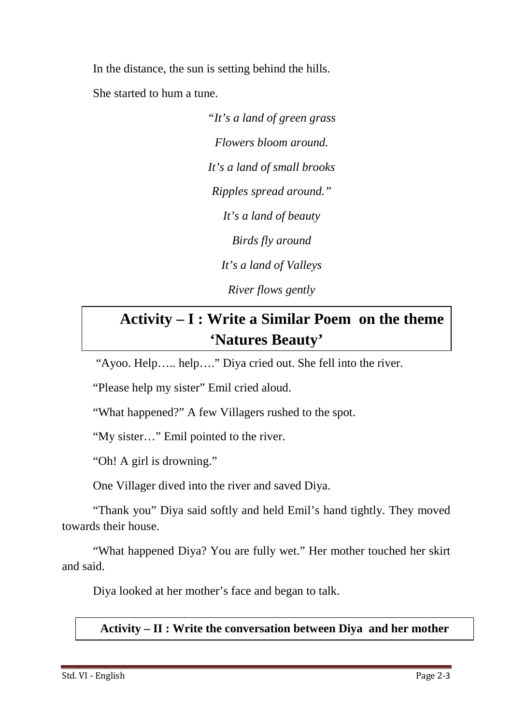In the distance, the sun is setting behind the hills. She started to hum a tune.

> *"It's a land of green grass Flowers bloom around. It's a land of small brooks Ripples spread around." It's a land of beauty Birds fly around It's a land of Valleys River flows gently*

## **Activity – I : Write a Similar Poem on the theme 'Natures Beauty'**

"Ayoo. Help….. help…." Diya cried out. She fell into the river.

"Please help my sister" Emil cried aloud.

"What happened?" A few Villagers rushed to the spot.

"My sister…" Emil pointed to the river.

"Oh! A girl is drowning."

One Villager dived into the river and saved Diya.

"Thank you" Diya said softly and held Emil's hand tightly. They moved towards their house.

"What happened Diya? You are fully wet." Her mother touched her skirt and said.

Diya looked at her mother's face and began to talk.

**Activity – II : Write the conversation between Diya and her mother**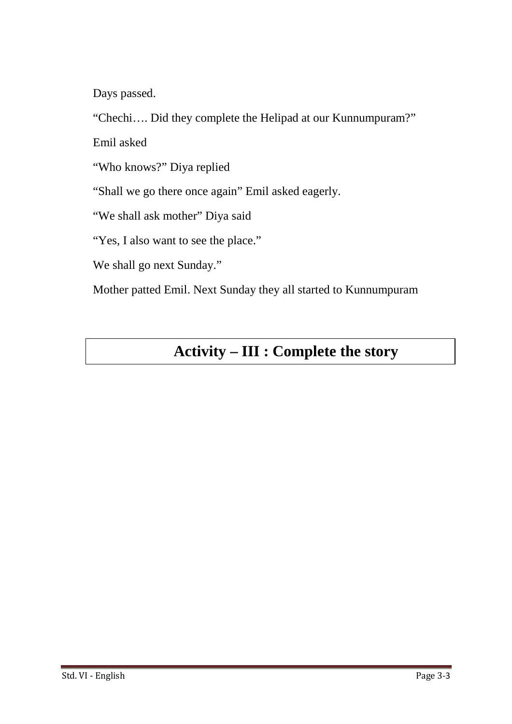Days passed.

"Chechi…. Did they complete the Helipad at our Kunnumpuram?"

Emil asked

"Who knows?" Diya replied

"Shall we go there once again" Emil asked eagerly.

"We shall ask mother" Diya said

"Yes, I also want to see the place."

We shall go next Sunday."

Mother patted Emil. Next Sunday they all started to Kunnumpuram

## **Activity – III : Complete the story**